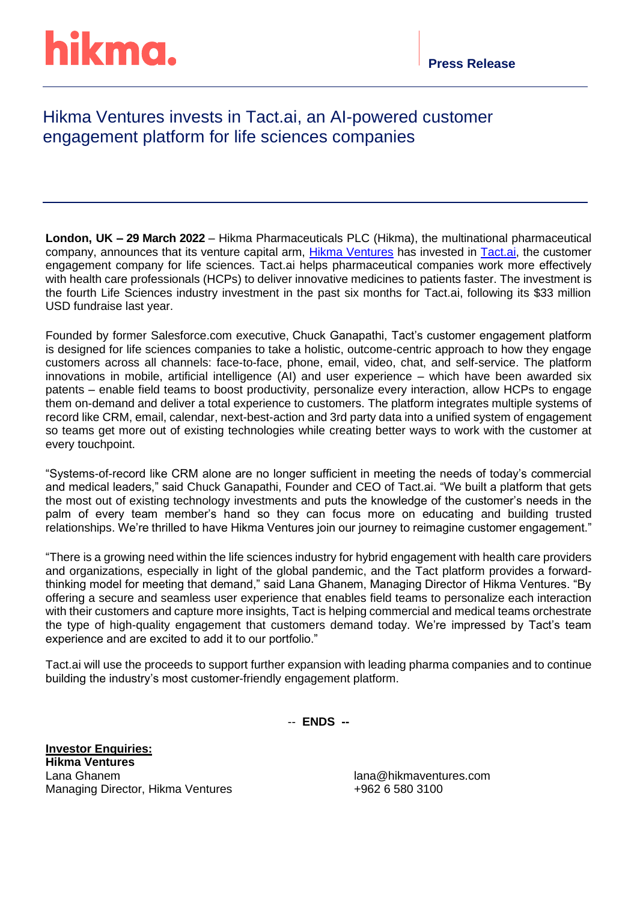# hikma.

### Hikma Ventures invests in Tact.ai, an AI-powered customer engagement platform for life sciences companies

**London, UK – 29 March 2022** – Hikma Pharmaceuticals PLC (Hikma), the multinational pharmaceutical company, announces that its venture capital arm, [Hikma Ventures](https://www.hikmaventures.com/home/) has invested in [Tact.ai,](http://www.tact.ai/) the customer engagement company for life sciences. Tact.ai helps pharmaceutical companies work more effectively with health care professionals (HCPs) to deliver innovative medicines to patients faster. The investment is the fourth Life Sciences industry investment in the past six months for Tact.ai, following its \$33 million USD fundraise last year.

Founded by former Salesforce.com executive, Chuck Ganapathi, Tact's customer engagement platform is designed for life sciences companies to take a holistic, outcome-centric approach to how they engage customers across all channels: face-to-face, phone, email, video, chat, and self-service. The platform innovations in mobile, artificial intelligence (AI) and user experience – which have been awarded six patents – enable field teams to boost productivity, personalize every interaction, allow HCPs to engage them on-demand and deliver a total experience to customers. The platform integrates multiple systems of record like CRM, email, calendar, next-best-action and 3rd party data into a unified system of engagement so teams get more out of existing technologies while creating better ways to work with the customer at every touchpoint.

"Systems-of-record like CRM alone are no longer sufficient in meeting the needs of today's commercial and medical leaders," said Chuck Ganapathi, Founder and CEO of Tact.ai. "We built a platform that gets the most out of existing technology investments and puts the knowledge of the customer's needs in the palm of every team member's hand so they can focus more on educating and building trusted relationships. We're thrilled to have Hikma Ventures join our journey to reimagine customer engagement."

"There is a growing need within the life sciences industry for hybrid engagement with health care providers and organizations, especially in light of the global pandemic, and the Tact platform provides a forwardthinking model for meeting that demand," said Lana Ghanem, Managing Director of Hikma Ventures. "By offering a secure and seamless user experience that enables field teams to personalize each interaction with their customers and capture more insights, Tact is helping commercial and medical teams orchestrate the type of high-quality engagement that customers demand today. We're impressed by Tact's team experience and are excited to add it to our portfolio."

Tact.ai will use the proceeds to support further expansion with leading pharma companies and to continue building the industry's most customer-friendly engagement platform.

-- **ENDS --**

**Investor Enquiries: Hikma Ventures** Lana Ghanem lana@hikmaventures.com Managing Director, Hikma Ventures +962 6 580 3100